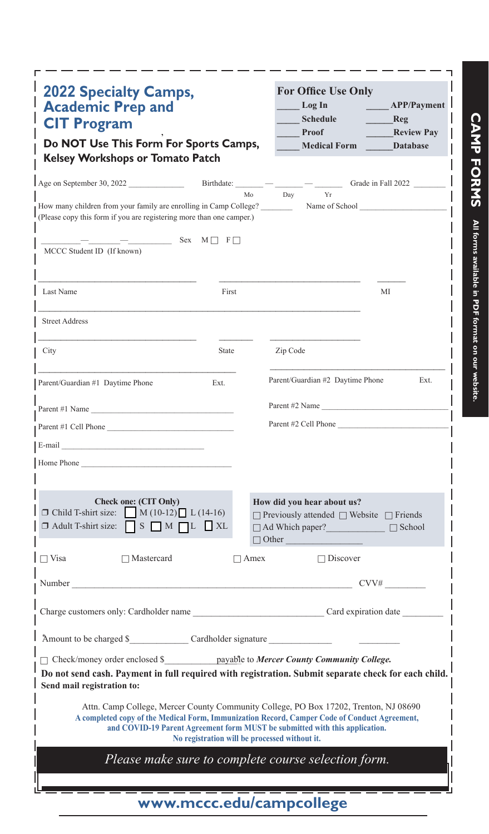| <b>2022 Specialty Camps,</b><br><b>Academic Prep and</b><br><b>CIT Program</b><br>Do NOT Use This Form For Sports Camps,<br><b>Kelsey Workshops or Tomato Patch</b>                                                        |                                               |             | <b>For Office Use Only</b><br>Log In<br><b>Schedule</b><br>Proof<br><b>Medical Form</b>                                                                                                                                                                             | APP/Payment<br>Reg<br><b>Review Pay</b><br><b>Database</b> |
|----------------------------------------------------------------------------------------------------------------------------------------------------------------------------------------------------------------------------|-----------------------------------------------|-------------|---------------------------------------------------------------------------------------------------------------------------------------------------------------------------------------------------------------------------------------------------------------------|------------------------------------------------------------|
| Age on September 30, 2022 Birthdate: $    -$ Grade in Fall 2022                                                                                                                                                            |                                               | Mo          | Day<br>Yr                                                                                                                                                                                                                                                           |                                                            |
| How many children from your family are enrolling in Camp College?<br>(Please copy this form if you are registering more than one camper.)                                                                                  |                                               |             | Name of School                                                                                                                                                                                                                                                      |                                                            |
| MCCC Student ID (If known)                                                                                                                                                                                                 | $-$ Sex M F                                   |             |                                                                                                                                                                                                                                                                     |                                                            |
| Last Name                                                                                                                                                                                                                  |                                               | First       |                                                                                                                                                                                                                                                                     | МI                                                         |
| <b>Street Address</b>                                                                                                                                                                                                      |                                               |             |                                                                                                                                                                                                                                                                     |                                                            |
| City                                                                                                                                                                                                                       | State                                         |             | Zip Code                                                                                                                                                                                                                                                            |                                                            |
| Parent/Guardian #1 Daytime Phone                                                                                                                                                                                           | Ext.                                          |             | Parent/Guardian #2 Daytime Phone                                                                                                                                                                                                                                    | Ext.                                                       |
| Parent #1 Name                                                                                                                                                                                                             |                                               |             | Parent #2 Name                                                                                                                                                                                                                                                      |                                                            |
| Parent #1 Cell Phone                                                                                                                                                                                                       |                                               |             | Parent #2 Cell Phone                                                                                                                                                                                                                                                |                                                            |
|                                                                                                                                                                                                                            |                                               |             |                                                                                                                                                                                                                                                                     |                                                            |
|                                                                                                                                                                                                                            |                                               |             |                                                                                                                                                                                                                                                                     |                                                            |
| Home Phone                                                                                                                                                                                                                 |                                               |             |                                                                                                                                                                                                                                                                     |                                                            |
| Check one: (CIT Only)<br>$\Box$ Child T-shirt size: $\Box$ M (10-12) $\Box$ L (14-16)<br>$\Box$ Adult T-shirt size: $\Box$ S $\Box$ M $\Box$ L $\Box$ XL                                                                   |                                               |             | How did you hear about us?<br>$\Box$ Previously attended $\Box$ Website $\Box$ Friends<br>□ Ad Which paper? □ School<br>$\Box$ Other                                                                                                                                |                                                            |
| $\Box$ Visa<br>$\Box$ Mastercard                                                                                                                                                                                           |                                               | $\Box$ Amex | $\Box$ Discover                                                                                                                                                                                                                                                     |                                                            |
| Number                                                                                                                                                                                                                     |                                               |             |                                                                                                                                                                                                                                                                     | CVV#                                                       |
|                                                                                                                                                                                                                            |                                               |             |                                                                                                                                                                                                                                                                     |                                                            |
|                                                                                                                                                                                                                            |                                               |             |                                                                                                                                                                                                                                                                     |                                                            |
| □ Check/money order enclosed \$ _________ payable to Mercer County Community College.<br>Do not send cash. Payment in full required with registration. Submit separate check for each child.<br>Send mail registration to: |                                               |             |                                                                                                                                                                                                                                                                     |                                                            |
|                                                                                                                                                                                                                            | No registration will be processed without it. |             | Attn. Camp College, Mercer County Community College, PO Box 17202, Trenton, NJ 08690<br>A completed copy of the Medical Form, Immunization Record, Camper Code of Conduct Agreement,<br>and COVID-19 Parent Agreement form MUST be submitted with this application. |                                                            |
|                                                                                                                                                                                                                            |                                               |             | Please make sure to complete course selection form.                                                                                                                                                                                                                 |                                                            |
|                                                                                                                                                                                                                            |                                               |             |                                                                                                                                                                                                                                                                     |                                                            |
|                                                                                                                                                                                                                            |                                               |             | www.mccc.edu/campcollege                                                                                                                                                                                                                                            |                                                            |